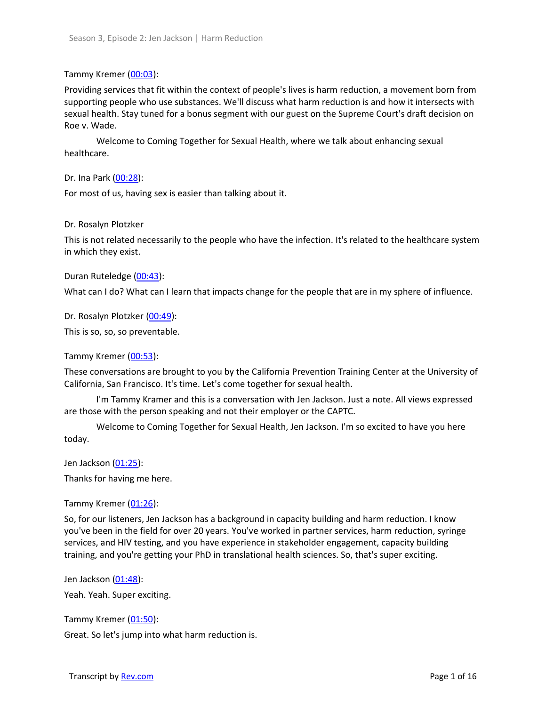### Tammy Kremer [\(00:03\)](https://www.rev.com/transcript-editor/Edit?token=B0Tf539qsPjdo3Wp5_Bb1QixtX1OYO1fcQkJevTo4RlhBrq1HWCSCpgmFq0Xc4KRlgpFpbY0c_1ntI3EuAXi467qSF0&loadFrom=DocumentDeeplink&ts=3.42):

Providing services that fit within the context of people's lives is harm reduction, a movement born from supporting people who use substances. We'll discuss what harm reduction is and how it intersects with sexual health. Stay tuned for a bonus segment with our guest on the Supreme Court's draft decision on Roe v. Wade.

Welcome to Coming Together for Sexual Health, where we talk about enhancing sexual healthcare.

Dr. Ina Park [\(00:28\)](https://www.rev.com/transcript-editor/Edit?token=FDmj-e7cLH0QvOldxjdP5ESSa4to5CIiQXd-1UytHhy-qSAyI7AFggREQHVhswA7UXJAe6Z4Hj7vq1ePRdoGhOBhXWE&loadFrom=DocumentDeeplink&ts=28.21):

For most of us, having sex is easier than talking about it.

#### Dr. Rosalyn Plotzker

This is not related necessarily to the people who have the infection. It's related to the healthcare system in which they exist.

Duran Ruteledge [\(00:43\)](https://www.rev.com/transcript-editor/Edit?token=ziqAz9Mt-Ut46A-vJ5S6jAHMSk-ozPGHp0FzxgT8oNCBMAZ3chLalBsQqA3y6vxk5Lf-_YGoUdquTF7Xbwb-rwDSPGI&loadFrom=DocumentDeeplink&ts=43.27):

What can I do? What can I learn that impacts change for the people that are in my sphere of influence.

Dr. Rosalyn Plotzker [\(00:49\)](https://www.rev.com/transcript-editor/Edit?token=EMQ6NLRX6gcNkHGlXcflb2dTL0yo_seNvr9aJccTfbVg0FSFt3v3X5rUimx4zbq_EVUMxXqe0enEov-3OgSIuo7AKIY&loadFrom=DocumentDeeplink&ts=49.47):

This is so, so, so preventable.

Tammy Kremer [\(00:53\)](https://www.rev.com/transcript-editor/Edit?token=xJWeWRPZfQLqsLXj3xjaCBL9z9MJPpxipys_IygGg_PgiS0R0wzbDPf795-nb2Gsj_QX50EUxMnus_pVdcQ4DnmWvYk&loadFrom=DocumentDeeplink&ts=53.84):

These conversations are brought to you by the California Prevention Training Center at the University of California, San Francisco. It's time. Let's come together for sexual health.

I'm Tammy Kramer and this is a conversation with Jen Jackson. Just a note. All views expressed are those with the person speaking and not their employer or the CAPTC.

Welcome to Coming Together for Sexual Health, Jen Jackson. I'm so excited to have you here today.

Jen Jackson [\(01:25\)](https://www.rev.com/transcript-editor/Edit?token=Cp4PctTmxb8XmpJq_7IoHSwDOg4gpEmMUX_nGT0oHg4A6nW1oj6FlfSjnWFn99DGdxA5jQ7Z5iQ8jKEnyTxelnq1neo&loadFrom=DocumentDeeplink&ts=85.17):

Thanks for having me here.

Tammy Kremer [\(01:26\)](https://www.rev.com/transcript-editor/Edit?token=MsQLOUsWB9ltXc8kL6xjVmycpE_aeJAD8SQh8wNSVyWMYiaPt4ImaIXb0hgn38xm5p0Nv_ros4PmLzTGr6ulRTWY-SU&loadFrom=DocumentDeeplink&ts=86.43):

So, for our listeners, Jen Jackson has a background in capacity building and harm reduction. I know you've been in the field for over 20 years. You've worked in partner services, harm reduction, syringe services, and HIV testing, and you have experience in stakeholder engagement, capacity building training, and you're getting your PhD in translational health sciences. So, that's super exciting.

Jen Jackson [\(01:48\)](https://www.rev.com/transcript-editor/Edit?token=DSNP4Gux9NLT4zXnupRMhekINLkBmR_Png9tl6TQmg3lZlFg-a2OVUnbSsSOvjDieuU5k4rnwEwEDHHO61NhwppZbjA&loadFrom=DocumentDeeplink&ts=108.43):

Yeah. Yeah. Super exciting.

Tammy Kremer [\(01:50\)](https://www.rev.com/transcript-editor/Edit?token=B33ivNwrgtQOO2WtRTQYM81e9Ex8-cGoMFvlcr5jzzfIQ1SNqG0eRJlXwQpDG6wBXKv7wBF20lUAZSbm9br0uz7w7I8&loadFrom=DocumentDeeplink&ts=110.36): Great. So let's jump into what harm reduction is.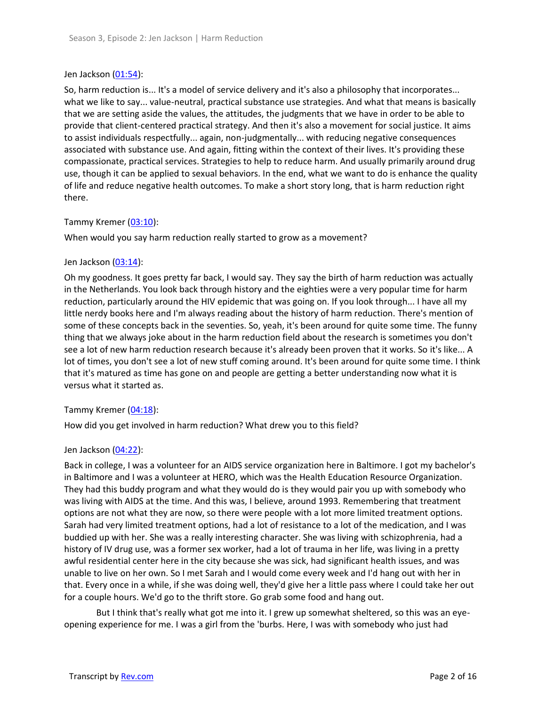### Jen Jackson [\(01:54\)](https://www.rev.com/transcript-editor/Edit?token=R6mUgKldiB4ys-wtpZzbQM8mhdtn52ItCdbFT-LmJoIE-vtJO85cOtPY1EWgnkuiZ3aVOKI0ksnegT4WXg0DRWLZXps&loadFrom=DocumentDeeplink&ts=114.67):

So, harm reduction is... It's a model of service delivery and it's also a philosophy that incorporates... what we like to say... value-neutral, practical substance use strategies. And what that means is basically that we are setting aside the values, the attitudes, the judgments that we have in order to be able to provide that client-centered practical strategy. And then it's also a movement for social justice. It aims to assist individuals respectfully... again, non-judgmentally... with reducing negative consequences associated with substance use. And again, fitting within the context of their lives. It's providing these compassionate, practical services. Strategies to help to reduce harm. And usually primarily around drug use, though it can be applied to sexual behaviors. In the end, what we want to do is enhance the quality of life and reduce negative health outcomes. To make a short story long, that is harm reduction right there.

## Tammy Kremer [\(03:10\)](https://www.rev.com/transcript-editor/Edit?token=ZIgKnDY3SCMdukEmR-RHuCpEWgVS1G7qj5mgGE35CipmKgRlfbFXupkUPPBG_YymFQx7PSqI1jszo_pzeYGMjIS5R_0&loadFrom=DocumentDeeplink&ts=190.52):

When would you say harm reduction really started to grow as a movement?

## Jen Jackson [\(03:14\)](https://www.rev.com/transcript-editor/Edit?token=5yGvMTfZUc0enjtDVPP7dZZw7g2OeNXBjwbS1OC8mMzzBDDE6xB-M18WaAS6vLx5akN5uEXovkWqU8qPoDeaEqE9WmI&loadFrom=DocumentDeeplink&ts=194.48):

Oh my goodness. It goes pretty far back, I would say. They say the birth of harm reduction was actually in the Netherlands. You look back through history and the eighties were a very popular time for harm reduction, particularly around the HIV epidemic that was going on. If you look through... I have all my little nerdy books here and I'm always reading about the history of harm reduction. There's mention of some of these concepts back in the seventies. So, yeah, it's been around for quite some time. The funny thing that we always joke about in the harm reduction field about the research is sometimes you don't see a lot of new harm reduction research because it's already been proven that it works. So it's like... A lot of times, you don't see a lot of new stuff coming around. It's been around for quite some time. I think that it's matured as time has gone on and people are getting a better understanding now what it is versus what it started as.

### Tammy Kremer [\(04:18\)](https://www.rev.com/transcript-editor/Edit?token=UHEzisL8nqTSns9UPuGcgM-QKbovMXbWwbBtCEKZLa7jiUTwIx6k73ZdT2EvcLVBd6Vq_LtjN5unb8-bjgso-bWlQjM&loadFrom=DocumentDeeplink&ts=258.31):

How did you get involved in harm reduction? What drew you to this field?

### Jen Jackson [\(04:22\)](https://www.rev.com/transcript-editor/Edit?token=Wm57GaJtHj5vVwq-uNkhO9Jea6K1xe_kQ3J9I4KcwtaaByRywxcQBKjaAihk3GiaFQmBtas-xFrdkbn2oShIIfCrtdc&loadFrom=DocumentDeeplink&ts=262.51):

Back in college, I was a volunteer for an AIDS service organization here in Baltimore. I got my bachelor's in Baltimore and I was a volunteer at HERO, which was the Health Education Resource Organization. They had this buddy program and what they would do is they would pair you up with somebody who was living with AIDS at the time. And this was, I believe, around 1993. Remembering that treatment options are not what they are now, so there were people with a lot more limited treatment options. Sarah had very limited treatment options, had a lot of resistance to a lot of the medication, and I was buddied up with her. She was a really interesting character. She was living with schizophrenia, had a history of IV drug use, was a former sex worker, had a lot of trauma in her life, was living in a pretty awful residential center here in the city because she was sick, had significant health issues, and was unable to live on her own. So I met Sarah and I would come every week and I'd hang out with her in that. Every once in a while, if she was doing well, they'd give her a little pass where I could take her out for a couple hours. We'd go to the thrift store. Go grab some food and hang out.

But I think that's really what got me into it. I grew up somewhat sheltered, so this was an eyeopening experience for me. I was a girl from the 'burbs. Here, I was with somebody who just had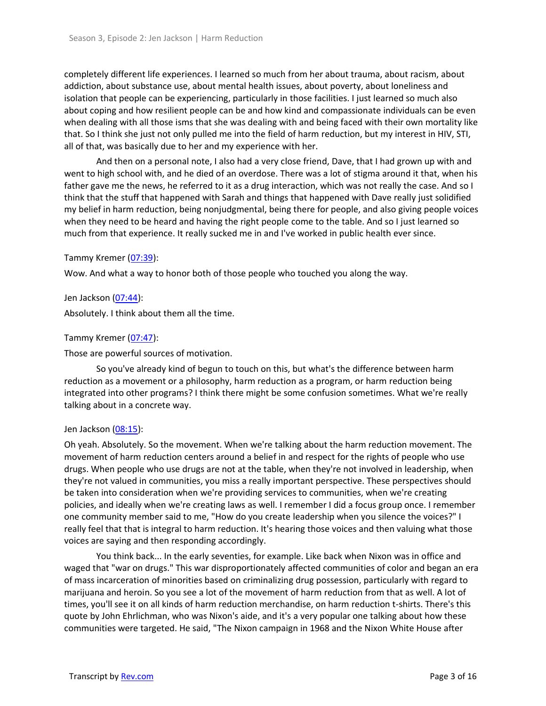completely different life experiences. I learned so much from her about trauma, about racism, about addiction, about substance use, about mental health issues, about poverty, about loneliness and isolation that people can be experiencing, particularly in those facilities. I just learned so much also about coping and how resilient people can be and how kind and compassionate individuals can be even when dealing with all those isms that she was dealing with and being faced with their own mortality like that. So I think she just not only pulled me into the field of harm reduction, but my interest in HIV, STI, all of that, was basically due to her and my experience with her.

And then on a personal note, I also had a very close friend, Dave, that I had grown up with and went to high school with, and he died of an overdose. There was a lot of stigma around it that, when his father gave me the news, he referred to it as a drug interaction, which was not really the case. And so I think that the stuff that happened with Sarah and things that happened with Dave really just solidified my belief in harm reduction, being nonjudgmental, being there for people, and also giving people voices when they need to be heard and having the right people come to the table. And so I just learned so much from that experience. It really sucked me in and I've worked in public health ever since.

### Tammy Kremer [\(07:39\)](https://www.rev.com/transcript-editor/Edit?token=F-ZItQyrBI81fngl9tYPMvYTqLXVBItc_rKF_2BSrPXGMAuby2PL4hDU-Gjv7RK5f2AkcUo2S-41QU6t3Eiv8fTmuok&loadFrom=DocumentDeeplink&ts=459.73):

Wow. And what a way to honor both of those people who touched you along the way.

Jen Jackson [\(07:44\)](https://www.rev.com/transcript-editor/Edit?token=bgOggJ_6FzROQfryBVtG-TH7JBRlaQAXsK98cs7NIEzh8lPUrupLeIQTmUfqMoMP4PymAUT5P46VCsOZB0hnzDKIVSk&loadFrom=DocumentDeeplink&ts=464.86):

Absolutely. I think about them all the time.

## Tammy Kremer [\(07:47\)](https://www.rev.com/transcript-editor/Edit?token=FUyCMZvz9081_b1eCt-UrsK9ClS3lDrl3pQThPqg8mYOvVEBj-ZBJTVXj52ucGNRhFXP57jQHteM7WkYVW-Yy2uMF4Y&loadFrom=DocumentDeeplink&ts=467.28):

Those are powerful sources of motivation.

So you've already kind of begun to touch on this, but what's the difference between harm reduction as a movement or a philosophy, harm reduction as a program, or harm reduction being integrated into other programs? I think there might be some confusion sometimes. What we're really talking about in a concrete way.

### Jen Jackson [\(08:15\)](https://www.rev.com/transcript-editor/Edit?token=6ZnX2CYx0Mj5nXNyWoKUrZ5KA-5aYx8FGXw4YdRz6N9tT_JJzZdbnclN7abuwm_n5ERzOtP7fVAPuZ9uzMHRJOIvE2U&loadFrom=DocumentDeeplink&ts=495.5):

Oh yeah. Absolutely. So the movement. When we're talking about the harm reduction movement. The movement of harm reduction centers around a belief in and respect for the rights of people who use drugs. When people who use drugs are not at the table, when they're not involved in leadership, when they're not valued in communities, you miss a really important perspective. These perspectives should be taken into consideration when we're providing services to communities, when we're creating policies, and ideally when we're creating laws as well. I remember I did a focus group once. I remember one community member said to me, "How do you create leadership when you silence the voices?" I really feel that that is integral to harm reduction. It's hearing those voices and then valuing what those voices are saying and then responding accordingly.

You think back... In the early seventies, for example. Like back when Nixon was in office and waged that "war on drugs." This war disproportionately affected communities of color and began an era of mass incarceration of minorities based on criminalizing drug possession, particularly with regard to marijuana and heroin. So you see a lot of the movement of harm reduction from that as well. A lot of times, you'll see it on all kinds of harm reduction merchandise, on harm reduction t-shirts. There's this quote by John Ehrlichman, who was Nixon's aide, and it's a very popular one talking about how these communities were targeted. He said, "The Nixon campaign in 1968 and the Nixon White House after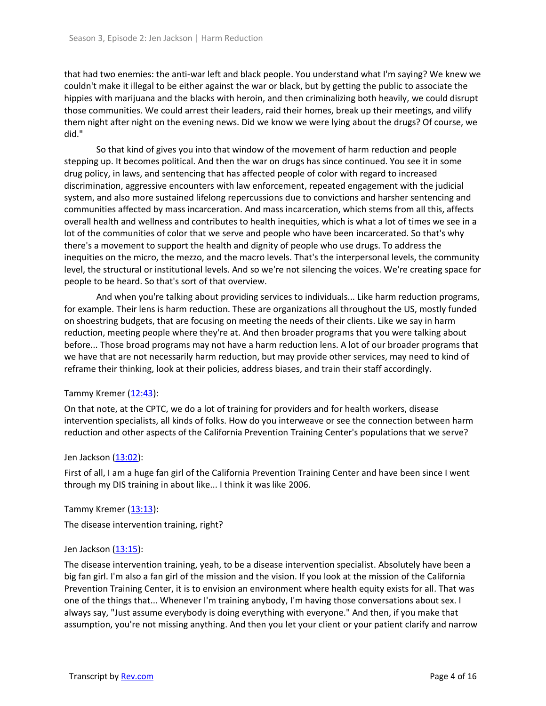that had two enemies: the anti-war left and black people. You understand what I'm saying? We knew we couldn't make it illegal to be either against the war or black, but by getting the public to associate the hippies with marijuana and the blacks with heroin, and then criminalizing both heavily, we could disrupt those communities. We could arrest their leaders, raid their homes, break up their meetings, and vilify them night after night on the evening news. Did we know we were lying about the drugs? Of course, we did."

So that kind of gives you into that window of the movement of harm reduction and people stepping up. It becomes political. And then the war on drugs has since continued. You see it in some drug policy, in laws, and sentencing that has affected people of color with regard to increased discrimination, aggressive encounters with law enforcement, repeated engagement with the judicial system, and also more sustained lifelong repercussions due to convictions and harsher sentencing and communities affected by mass incarceration. And mass incarceration, which stems from all this, affects overall health and wellness and contributes to health inequities, which is what a lot of times we see in a lot of the communities of color that we serve and people who have been incarcerated. So that's why there's a movement to support the health and dignity of people who use drugs. To address the inequities on the micro, the mezzo, and the macro levels. That's the interpersonal levels, the community level, the structural or institutional levels. And so we're not silencing the voices. We're creating space for people to be heard. So that's sort of that overview.

And when you're talking about providing services to individuals... Like harm reduction programs, for example. Their lens is harm reduction. These are organizations all throughout the US, mostly funded on shoestring budgets, that are focusing on meeting the needs of their clients. Like we say in harm reduction, meeting people where they're at. And then broader programs that you were talking about before... Those broad programs may not have a harm reduction lens. A lot of our broader programs that we have that are not necessarily harm reduction, but may provide other services, may need to kind of reframe their thinking, look at their policies, address biases, and train their staff accordingly.

### Tammy Kremer  $(12:43)$ :

On that note, at the CPTC, we do a lot of training for providers and for health workers, disease intervention specialists, all kinds of folks. How do you interweave or see the connection between harm reduction and other aspects of the California Prevention Training Center's populations that we serve?

### Jen Jackson [\(13:02\)](https://www.rev.com/transcript-editor/Edit?token=HURgvjxcS5NtWMhtZBiI2bhsMr2ocBoW6c0vDhjWqn9Cd5cSuPZN2qaqICNxWJHcCOejvlu_7FfUITQXBUDSTLzDQu4&loadFrom=DocumentDeeplink&ts=782.4):

First of all, I am a huge fan girl of the California Prevention Training Center and have been since I went through my DIS training in about like... I think it was like 2006.

### Tammy Kremer [\(13:13\)](https://www.rev.com/transcript-editor/Edit?token=PlfTCcWHjNPk4PES4dWUKftF-fBElZqsi0EkSIih8X2qvWtp7onuB1rFyoV7hrFZTmr8Ddl7POGHADe6XFTeeAvbtp4&loadFrom=DocumentDeeplink&ts=793.56):

The disease intervention training, right?

### Jen Jackson [\(13:15\)](https://www.rev.com/transcript-editor/Edit?token=jDqywFFnf6W6C_fxSI1Zw3aeyRiAFbaODCi4oQRh2ErKDnMZl5-out0ZRgl-Bnov3Tu9YC52cZDJPSVifRXY3Nu4z3w&loadFrom=DocumentDeeplink&ts=795.17):

The disease intervention training, yeah, to be a disease intervention specialist. Absolutely have been a big fan girl. I'm also a fan girl of the mission and the vision. If you look at the mission of the California Prevention Training Center, it is to envision an environment where health equity exists for all. That was one of the things that... Whenever I'm training anybody, I'm having those conversations about sex. I always say, "Just assume everybody is doing everything with everyone." And then, if you make that assumption, you're not missing anything. And then you let your client or your patient clarify and narrow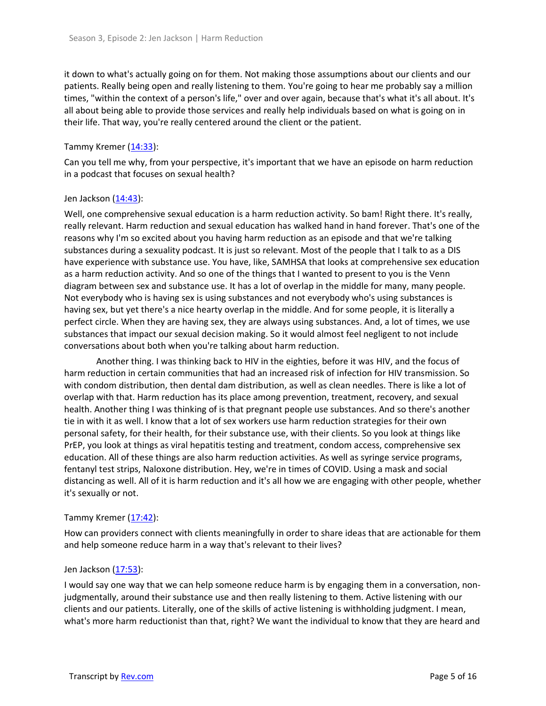it down to what's actually going on for them. Not making those assumptions about our clients and our patients. Really being open and really listening to them. You're going to hear me probably say a million times, "within the context of a person's life," over and over again, because that's what it's all about. It's all about being able to provide those services and really help individuals based on what is going on in their life. That way, you're really centered around the client or the patient.

## Tammy Kremer  $(14:33)$ :

Can you tell me why, from your perspective, it's important that we have an episode on harm reduction in a podcast that focuses on sexual health?

### Jen Jackson  $(14:43)$ :

Well, one comprehensive sexual education is a harm reduction activity. So bam! Right there. It's really, really relevant. Harm reduction and sexual education has walked hand in hand forever. That's one of the reasons why I'm so excited about you having harm reduction as an episode and that we're talking substances during a sexuality podcast. It is just so relevant. Most of the people that I talk to as a DIS have experience with substance use. You have, like, SAMHSA that looks at comprehensive sex education as a harm reduction activity. And so one of the things that I wanted to present to you is the Venn diagram between sex and substance use. It has a lot of overlap in the middle for many, many people. Not everybody who is having sex is using substances and not everybody who's using substances is having sex, but yet there's a nice hearty overlap in the middle. And for some people, it is literally a perfect circle. When they are having sex, they are always using substances. And, a lot of times, we use substances that impact our sexual decision making. So it would almost feel negligent to not include conversations about both when you're talking about harm reduction.

Another thing. I was thinking back to HIV in the eighties, before it was HIV, and the focus of harm reduction in certain communities that had an increased risk of infection for HIV transmission. So with condom distribution, then dental dam distribution, as well as clean needles. There is like a lot of overlap with that. Harm reduction has its place among prevention, treatment, recovery, and sexual health. Another thing I was thinking of is that pregnant people use substances. And so there's another tie in with it as well. I know that a lot of sex workers use harm reduction strategies for their own personal safety, for their health, for their substance use, with their clients. So you look at things like PrEP, you look at things as viral hepatitis testing and treatment, condom access, comprehensive sex education. All of these things are also harm reduction activities. As well as syringe service programs, fentanyl test strips, Naloxone distribution. Hey, we're in times of COVID. Using a mask and social distancing as well. All of it is harm reduction and it's all how we are engaging with other people, whether it's sexually or not.

# Tammy Kremer  $(17:42)$ :

How can providers connect with clients meaningfully in order to share ideas that are actionable for them and help someone reduce harm in a way that's relevant to their lives?

### Jen Jackson [\(17:53\)](https://www.rev.com/transcript-editor/Edit?token=3ZghPNtLB72hGQ81sJ5H0xXnSKRGT1aB1jpVt7WNpPD2FV3tL6ui4X902m9SjuPr65JAV1fARXHZsjdYrUX6gWpqi_o&loadFrom=DocumentDeeplink&ts=1073):

I would say one way that we can help someone reduce harm is by engaging them in a conversation, nonjudgmentally, around their substance use and then really listening to them. Active listening with our clients and our patients. Literally, one of the skills of active listening is withholding judgment. I mean, what's more harm reductionist than that, right? We want the individual to know that they are heard and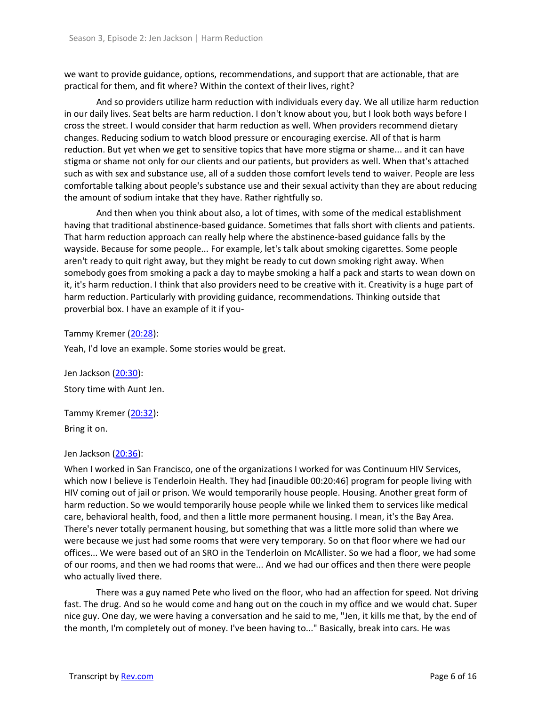we want to provide guidance, options, recommendations, and support that are actionable, that are practical for them, and fit where? Within the context of their lives, right?

And so providers utilize harm reduction with individuals every day. We all utilize harm reduction in our daily lives. Seat belts are harm reduction. I don't know about you, but I look both ways before I cross the street. I would consider that harm reduction as well. When providers recommend dietary changes. Reducing sodium to watch blood pressure or encouraging exercise. All of that is harm reduction. But yet when we get to sensitive topics that have more stigma or shame... and it can have stigma or shame not only for our clients and our patients, but providers as well. When that's attached such as with sex and substance use, all of a sudden those comfort levels tend to waiver. People are less comfortable talking about people's substance use and their sexual activity than they are about reducing the amount of sodium intake that they have. Rather rightfully so.

And then when you think about also, a lot of times, with some of the medical establishment having that traditional abstinence-based guidance. Sometimes that falls short with clients and patients. That harm reduction approach can really help where the abstinence-based guidance falls by the wayside. Because for some people... For example, let's talk about smoking cigarettes. Some people aren't ready to quit right away, but they might be ready to cut down smoking right away. When somebody goes from smoking a pack a day to maybe smoking a half a pack and starts to wean down on it, it's harm reduction. I think that also providers need to be creative with it. Creativity is a huge part of harm reduction. Particularly with providing guidance, recommendations. Thinking outside that proverbial box. I have an example of it if you-

Tammy Kremer [\(20:28\)](https://www.rev.com/transcript-editor/Edit?token=mia_TWfqcAHBLfx8EBxI4oN-gt12EbgWCpSRSLBDz00nemJF-P3xKCrHo_L40hpIBJUfPgOtu-W4UgrdHu54_EQyqA0&loadFrom=DocumentDeeplink&ts=1228.37):

Yeah, I'd love an example. Some stories would be great.

Jen Jackson [\(20:30\)](https://www.rev.com/transcript-editor/Edit?token=qv-1_1YHhsheMTr0xdnCiJmh1FrYMlQ7G5ijGCfvpN6lMVi9XQwja8AwEQufoxG9abmyDB1pE5d6NXkGg2pZOnm69U0&loadFrom=DocumentDeeplink&ts=1230.67): Story time with Aunt Jen.

Tammy Kremer [\(20:32\)](https://www.rev.com/transcript-editor/Edit?token=CmBIi-KJi5AedTBH71qPbn91KopbwRkN48H4uNWNefvi6WHHCHg1LvUZUlHJeEFWjogcmtoKgKhF4CSIz1m0wSzu21E&loadFrom=DocumentDeeplink&ts=1232.22): Bring it on.

### Jen Jackson [\(20:36\)](https://www.rev.com/transcript-editor/Edit?token=kYRja5lSSKg9j2I9v2fUfNCxR-sUWtVZQNyxNzO2VmEKfap8cjd_sKXvAj3hm_jBRnn_k9JLApwhRr5zaiLH2ZKYffE&loadFrom=DocumentDeeplink&ts=1236.45):

When I worked in San Francisco, one of the organizations I worked for was Continuum HIV Services, which now I believe is Tenderloin Health. They had [inaudible 00:20:46] program for people living with HIV coming out of jail or prison. We would temporarily house people. Housing. Another great form of harm reduction. So we would temporarily house people while we linked them to services like medical care, behavioral health, food, and then a little more permanent housing. I mean, it's the Bay Area. There's never totally permanent housing, but something that was a little more solid than where we were because we just had some rooms that were very temporary. So on that floor where we had our offices... We were based out of an SRO in the Tenderloin on McAllister. So we had a floor, we had some of our rooms, and then we had rooms that were... And we had our offices and then there were people who actually lived there.

There was a guy named Pete who lived on the floor, who had an affection for speed. Not driving fast. The drug. And so he would come and hang out on the couch in my office and we would chat. Super nice guy. One day, we were having a conversation and he said to me, "Jen, it kills me that, by the end of the month, I'm completely out of money. I've been having to..." Basically, break into cars. He was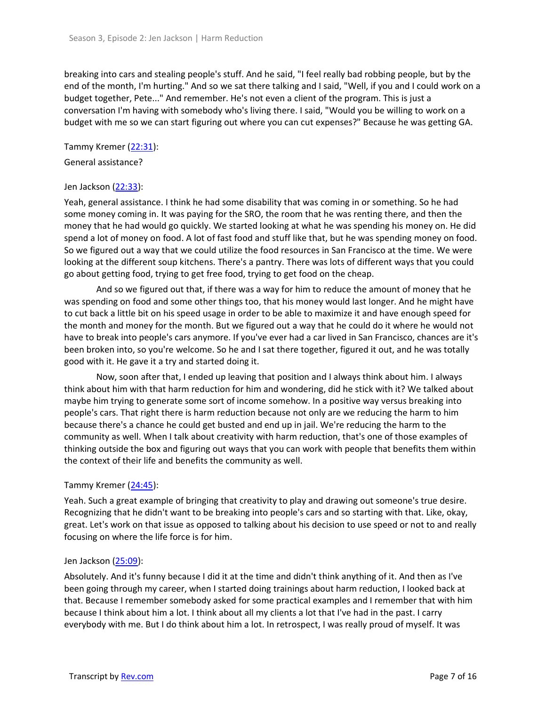breaking into cars and stealing people's stuff. And he said, "I feel really bad robbing people, but by the end of the month, I'm hurting." And so we sat there talking and I said, "Well, if you and I could work on a budget together, Pete..." And remember. He's not even a client of the program. This is just a conversation I'm having with somebody who's living there. I said, "Would you be willing to work on a budget with me so we can start figuring out where you can cut expenses?" Because he was getting GA.

Tammy Kremer [\(22:31\)](https://www.rev.com/transcript-editor/Edit?token=_5nNBq6wUOrcf8GCLbEOIeIDsZbCLoJt1NbuA8p8WPCTExDknL06uE8yqI7LEHsduYPXfOpskPBBvmU760WFvDxll1Y&loadFrom=DocumentDeeplink&ts=1351.85):

General assistance?

## Jen Jackson [\(22:33\)](https://www.rev.com/transcript-editor/Edit?token=EsjdIQMiCEmTTLkZVihO7sCnOiy79zZVK6Ig6lssQOApl3ur8BrXIoDMOCkqtZCjEKLV2PheZ9A4sRlfMROsULoehTU&loadFrom=DocumentDeeplink&ts=1353.05):

Yeah, general assistance. I think he had some disability that was coming in or something. So he had some money coming in. It was paying for the SRO, the room that he was renting there, and then the money that he had would go quickly. We started looking at what he was spending his money on. He did spend a lot of money on food. A lot of fast food and stuff like that, but he was spending money on food. So we figured out a way that we could utilize the food resources in San Francisco at the time. We were looking at the different soup kitchens. There's a pantry. There was lots of different ways that you could go about getting food, trying to get free food, trying to get food on the cheap.

And so we figured out that, if there was a way for him to reduce the amount of money that he was spending on food and some other things too, that his money would last longer. And he might have to cut back a little bit on his speed usage in order to be able to maximize it and have enough speed for the month and money for the month. But we figured out a way that he could do it where he would not have to break into people's cars anymore. If you've ever had a car lived in San Francisco, chances are it's been broken into, so you're welcome. So he and I sat there together, figured it out, and he was totally good with it. He gave it a try and started doing it.

Now, soon after that, I ended up leaving that position and I always think about him. I always think about him with that harm reduction for him and wondering, did he stick with it? We talked about maybe him trying to generate some sort of income somehow. In a positive way versus breaking into people's cars. That right there is harm reduction because not only are we reducing the harm to him because there's a chance he could get busted and end up in jail. We're reducing the harm to the community as well. When I talk about creativity with harm reduction, that's one of those examples of thinking outside the box and figuring out ways that you can work with people that benefits them within the context of their life and benefits the community as well.

# Tammy Kremer [\(24:45\)](https://www.rev.com/transcript-editor/Edit?token=u7uv_iBusaajTUopm6zKUE6SrAsIDNIe2OKvhthwom0t_UDaDVyPEAPoLHHXc8sZzwlHv_d2uCQ97LHmmO0VKrx8qAc&loadFrom=DocumentDeeplink&ts=1485.55):

Yeah. Such a great example of bringing that creativity to play and drawing out someone's true desire. Recognizing that he didn't want to be breaking into people's cars and so starting with that. Like, okay, great. Let's work on that issue as opposed to talking about his decision to use speed or not to and really focusing on where the life force is for him.

### Jen Jackson [\(25:09\)](https://www.rev.com/transcript-editor/Edit?token=bXxRinWNoxaikn6v696JI93UzSmrB6d2ijnOGfk6yc_cCHAPWtS4ZD2Nl_MDhLdAu6RotZgYl6OD1DUW86kNLt-P4eY&loadFrom=DocumentDeeplink&ts=1509.3):

Absolutely. And it's funny because I did it at the time and didn't think anything of it. And then as I've been going through my career, when I started doing trainings about harm reduction, I looked back at that. Because I remember somebody asked for some practical examples and I remember that with him because I think about him a lot. I think about all my clients a lot that I've had in the past. I carry everybody with me. But I do think about him a lot. In retrospect, I was really proud of myself. It was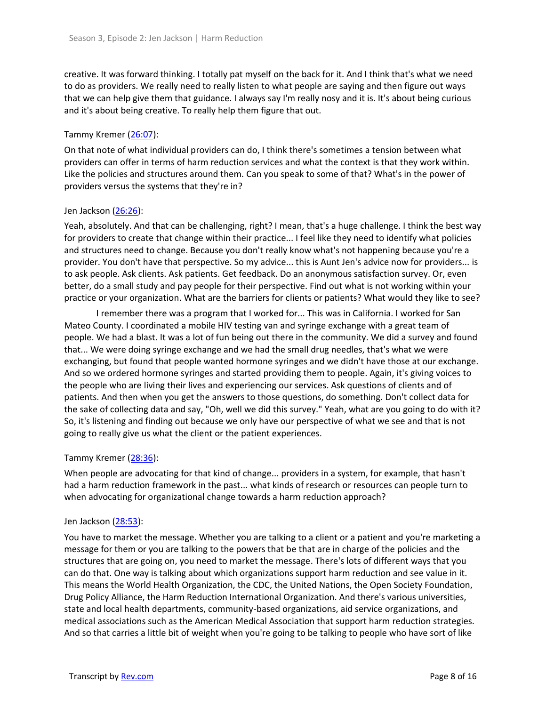creative. It was forward thinking. I totally pat myself on the back for it. And I think that's what we need to do as providers. We really need to really listen to what people are saying and then figure out ways that we can help give them that guidance. I always say I'm really nosy and it is. It's about being curious and it's about being creative. To really help them figure that out.

## Tammy Kremer [\(26:07\)](https://www.rev.com/transcript-editor/Edit?token=JdS5taF-M1hWa_kA05NqQ9Ru6KS_PXnjLwpxVEhA2qQpbCv0gaD2qCLTw2rLXCgOhkZ0E0hR1aKz1IlQubgcBv6H1TU&loadFrom=DocumentDeeplink&ts=1567.83):

On that note of what individual providers can do, I think there's sometimes a tension between what providers can offer in terms of harm reduction services and what the context is that they work within. Like the policies and structures around them. Can you speak to some of that? What's in the power of providers versus the systems that they're in?

## Jen Jackson [\(26:26\)](https://www.rev.com/transcript-editor/Edit?token=CaUvozoiLTBwKOFC7UmqtNrSvFhVlte4jM1Diwul_he6_5Es40FK6Ew6P2-A6Rn6T0uPRKRMhTs5HnYKccDolbCXfj0&loadFrom=DocumentDeeplink&ts=1586.77):

Yeah, absolutely. And that can be challenging, right? I mean, that's a huge challenge. I think the best way for providers to create that change within their practice... I feel like they need to identify what policies and structures need to change. Because you don't really know what's not happening because you're a provider. You don't have that perspective. So my advice... this is Aunt Jen's advice now for providers... is to ask people. Ask clients. Ask patients. Get feedback. Do an anonymous satisfaction survey. Or, even better, do a small study and pay people for their perspective. Find out what is not working within your practice or your organization. What are the barriers for clients or patients? What would they like to see?

I remember there was a program that I worked for... This was in California. I worked for San Mateo County. I coordinated a mobile HIV testing van and syringe exchange with a great team of people. We had a blast. It was a lot of fun being out there in the community. We did a survey and found that... We were doing syringe exchange and we had the small drug needles, that's what we were exchanging, but found that people wanted hormone syringes and we didn't have those at our exchange. And so we ordered hormone syringes and started providing them to people. Again, it's giving voices to the people who are living their lives and experiencing our services. Ask questions of clients and of patients. And then when you get the answers to those questions, do something. Don't collect data for the sake of collecting data and say, "Oh, well we did this survey." Yeah, what are you going to do with it? So, it's listening and finding out because we only have our perspective of what we see and that is not going to really give us what the client or the patient experiences.

### Tammy Kremer [\(28:36\)](https://www.rev.com/transcript-editor/Edit?token=DS7cKM3IFbYOeuyQk-uVjoUm0Wett63dlQ5nsrgSl7iVcHnGsXBoa1DB-LB4vXxpPP5-iItHpSF6rfFt9Gbfp7uxQmU&loadFrom=DocumentDeeplink&ts=1716.9):

When people are advocating for that kind of change... providers in a system, for example, that hasn't had a harm reduction framework in the past... what kinds of research or resources can people turn to when advocating for organizational change towards a harm reduction approach?

### Jen Jackson [\(28:53\)](https://www.rev.com/transcript-editor/Edit?token=1_rurgXOGp40u194zoUwpOk4y2xi4YeoqWgdhXmj1siIUX1mV5fdZgwwtuNhLeUbf-LagoAtOnR8hIiqB_VKn5LcWYw&loadFrom=DocumentDeeplink&ts=1733.74):

You have to market the message. Whether you are talking to a client or a patient and you're marketing a message for them or you are talking to the powers that be that are in charge of the policies and the structures that are going on, you need to market the message. There's lots of different ways that you can do that. One way is talking about which organizations support harm reduction and see value in it. This means the World Health Organization, the CDC, the United Nations, the Open Society Foundation, Drug Policy Alliance, the Harm Reduction International Organization. And there's various universities, state and local health departments, community-based organizations, aid service organizations, and medical associations such as the American Medical Association that support harm reduction strategies. And so that carries a little bit of weight when you're going to be talking to people who have sort of like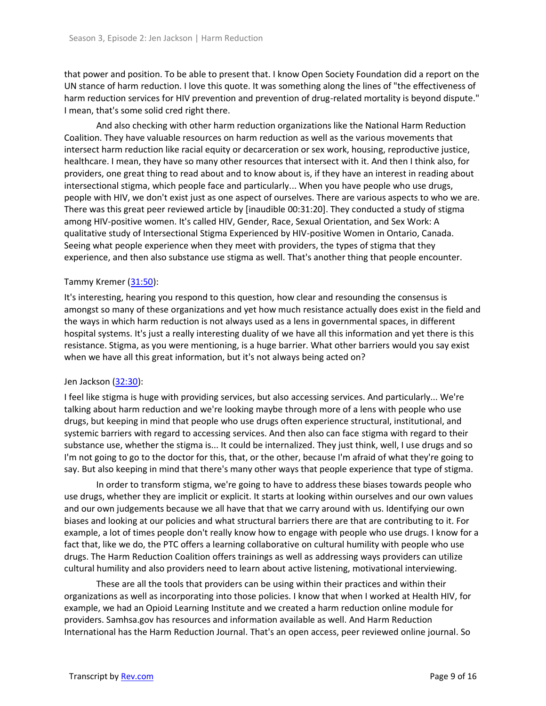that power and position. To be able to present that. I know Open Society Foundation did a report on the UN stance of harm reduction. I love this quote. It was something along the lines of "the effectiveness of harm reduction services for HIV prevention and prevention of drug-related mortality is beyond dispute." I mean, that's some solid cred right there.

And also checking with other harm reduction organizations like the National Harm Reduction Coalition. They have valuable resources on harm reduction as well as the various movements that intersect harm reduction like racial equity or decarceration or sex work, housing, reproductive justice, healthcare. I mean, they have so many other resources that intersect with it. And then I think also, for providers, one great thing to read about and to know about is, if they have an interest in reading about intersectional stigma, which people face and particularly... When you have people who use drugs, people with HIV, we don't exist just as one aspect of ourselves. There are various aspects to who we are. There was this great peer reviewed article by [inaudible 00:31:20]. They conducted a study of stigma among HIV-positive women. It's called HIV, Gender, Race, Sexual Orientation, and Sex Work: A qualitative study of Intersectional Stigma Experienced by HIV-positive Women in Ontario, Canada. Seeing what people experience when they meet with providers, the types of stigma that they experience, and then also substance use stigma as well. That's another thing that people encounter.

## Tammy Kremer [\(31:50\)](https://www.rev.com/transcript-editor/Edit?token=z7wEH1U0-FgB4E6NlVmPCnCu2p7iD4CxZdWofW3l5Vhxz7KITctQvqHB3cG5ZaxdvNorm1XUMR25DBJlqG0k9oK-LoI&loadFrom=DocumentDeeplink&ts=1910.68):

It's interesting, hearing you respond to this question, how clear and resounding the consensus is amongst so many of these organizations and yet how much resistance actually does exist in the field and the ways in which harm reduction is not always used as a lens in governmental spaces, in different hospital systems. It's just a really interesting duality of we have all this information and yet there is this resistance. Stigma, as you were mentioning, is a huge barrier. What other barriers would you say exist when we have all this great information, but it's not always being acted on?

### Jen Jackson [\(32:30\)](https://www.rev.com/transcript-editor/Edit?token=CL-pdkPOaO02HOAlDjYvGi5ku4_ff3DTG0fpmqHbjSpEebMd9nMVVWlApmQrMDK6b_Mzfsg8sCmHGn6vhh094ojF2cY&loadFrom=DocumentDeeplink&ts=1950.02):

I feel like stigma is huge with providing services, but also accessing services. And particularly... We're talking about harm reduction and we're looking maybe through more of a lens with people who use drugs, but keeping in mind that people who use drugs often experience structural, institutional, and systemic barriers with regard to accessing services. And then also can face stigma with regard to their substance use, whether the stigma is... It could be internalized. They just think, well, I use drugs and so I'm not going to go to the doctor for this, that, or the other, because I'm afraid of what they're going to say. But also keeping in mind that there's many other ways that people experience that type of stigma.

In order to transform stigma, we're going to have to address these biases towards people who use drugs, whether they are implicit or explicit. It starts at looking within ourselves and our own values and our own judgements because we all have that that we carry around with us. Identifying our own biases and looking at our policies and what structural barriers there are that are contributing to it. For example, a lot of times people don't really know how to engage with people who use drugs. I know for a fact that, like we do, the PTC offers a learning collaborative on cultural humility with people who use drugs. The Harm Reduction Coalition offers trainings as well as addressing ways providers can utilize cultural humility and also providers need to learn about active listening, motivational interviewing.

These are all the tools that providers can be using within their practices and within their organizations as well as incorporating into those policies. I know that when I worked at Health HIV, for example, we had an Opioid Learning Institute and we created a harm reduction online module for providers. Samhsa.gov has resources and information available as well. And Harm Reduction International has the Harm Reduction Journal. That's an open access, peer reviewed online journal. So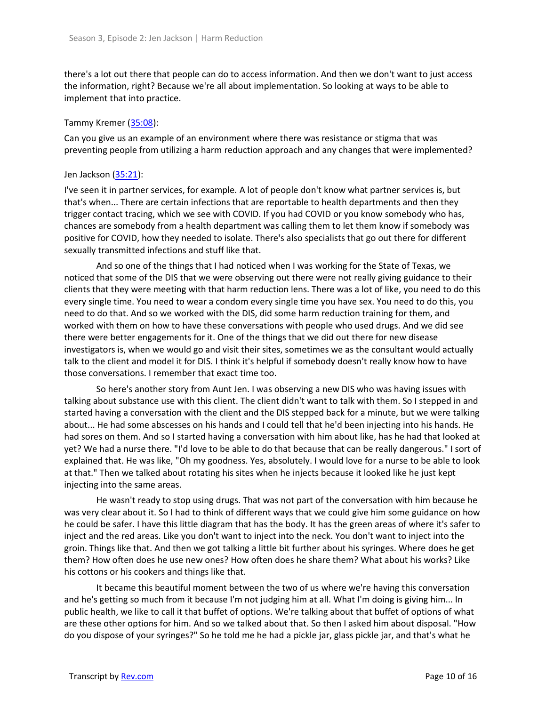there's a lot out there that people can do to access information. And then we don't want to just access the information, right? Because we're all about implementation. So looking at ways to be able to implement that into practice.

## Tammy Kremer [\(35:08\)](https://www.rev.com/transcript-editor/Edit?token=YcJ8lVCBPLVdBZliYodjJzK7Kcs-g0Av1Q5eVlSnbfWXUBHaSKxYWL4kQVTUN-OOdQmctiLMEv771zuYacSmx1GB8Mc&loadFrom=DocumentDeeplink&ts=2108.71):

Can you give us an example of an environment where there was resistance or stigma that was preventing people from utilizing a harm reduction approach and any changes that were implemented?

### Jen Jackson [\(35:21\)](https://www.rev.com/transcript-editor/Edit?token=vlEFc4p4a9T_eq-GpI_ZqYuhBQcZmrkQYZRKsvPa_AWcRtH-7bGeUfeXwnqcgavL5UayXD91XmXwehZ89oVDVLcyP5U&loadFrom=DocumentDeeplink&ts=2121.28):

I've seen it in partner services, for example. A lot of people don't know what partner services is, but that's when... There are certain infections that are reportable to health departments and then they trigger contact tracing, which we see with COVID. If you had COVID or you know somebody who has, chances are somebody from a health department was calling them to let them know if somebody was positive for COVID, how they needed to isolate. There's also specialists that go out there for different sexually transmitted infections and stuff like that.

And so one of the things that I had noticed when I was working for the State of Texas, we noticed that some of the DIS that we were observing out there were not really giving guidance to their clients that they were meeting with that harm reduction lens. There was a lot of like, you need to do this every single time. You need to wear a condom every single time you have sex. You need to do this, you need to do that. And so we worked with the DIS, did some harm reduction training for them, and worked with them on how to have these conversations with people who used drugs. And we did see there were better engagements for it. One of the things that we did out there for new disease investigators is, when we would go and visit their sites, sometimes we as the consultant would actually talk to the client and model it for DIS. I think it's helpful if somebody doesn't really know how to have those conversations. I remember that exact time too.

So here's another story from Aunt Jen. I was observing a new DIS who was having issues with talking about substance use with this client. The client didn't want to talk with them. So I stepped in and started having a conversation with the client and the DIS stepped back for a minute, but we were talking about... He had some abscesses on his hands and I could tell that he'd been injecting into his hands. He had sores on them. And so I started having a conversation with him about like, has he had that looked at yet? We had a nurse there. "I'd love to be able to do that because that can be really dangerous." I sort of explained that. He was like, "Oh my goodness. Yes, absolutely. I would love for a nurse to be able to look at that." Then we talked about rotating his sites when he injects because it looked like he just kept injecting into the same areas.

He wasn't ready to stop using drugs. That was not part of the conversation with him because he was very clear about it. So I had to think of different ways that we could give him some guidance on how he could be safer. I have this little diagram that has the body. It has the green areas of where it's safer to inject and the red areas. Like you don't want to inject into the neck. You don't want to inject into the groin. Things like that. And then we got talking a little bit further about his syringes. Where does he get them? How often does he use new ones? How often does he share them? What about his works? Like his cottons or his cookers and things like that.

It became this beautiful moment between the two of us where we're having this conversation and he's getting so much from it because I'm not judging him at all. What I'm doing is giving him... In public health, we like to call it that buffet of options. We're talking about that buffet of options of what are these other options for him. And so we talked about that. So then I asked him about disposal. "How do you dispose of your syringes?" So he told me he had a pickle jar, glass pickle jar, and that's what he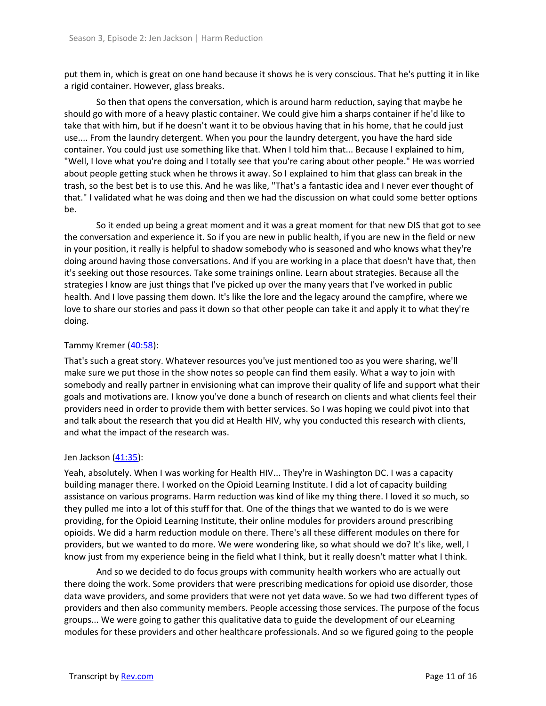put them in, which is great on one hand because it shows he is very conscious. That he's putting it in like a rigid container. However, glass breaks.

So then that opens the conversation, which is around harm reduction, saying that maybe he should go with more of a heavy plastic container. We could give him a sharps container if he'd like to take that with him, but if he doesn't want it to be obvious having that in his home, that he could just use.... From the laundry detergent. When you pour the laundry detergent, you have the hard side container. You could just use something like that. When I told him that... Because I explained to him, "Well, I love what you're doing and I totally see that you're caring about other people." He was worried about people getting stuck when he throws it away. So I explained to him that glass can break in the trash, so the best bet is to use this. And he was like, "That's a fantastic idea and I never ever thought of that." I validated what he was doing and then we had the discussion on what could some better options be.

So it ended up being a great moment and it was a great moment for that new DIS that got to see the conversation and experience it. So if you are new in public health, if you are new in the field or new in your position, it really is helpful to shadow somebody who is seasoned and who knows what they're doing around having those conversations. And if you are working in a place that doesn't have that, then it's seeking out those resources. Take some trainings online. Learn about strategies. Because all the strategies I know are just things that I've picked up over the many years that I've worked in public health. And I love passing them down. It's like the lore and the legacy around the campfire, where we love to share our stories and pass it down so that other people can take it and apply it to what they're doing.

## Tammy Kremer [\(40:58\)](https://www.rev.com/transcript-editor/Edit?token=eaVvGqwA8t82Uh4cm9lUCQ8bWH3OCzM-ZvStBJ5ZwWge0RyEWwXkeFKuJtlHA0T-3nT6d9R__s-lk2gdB0nUUJdNt08&loadFrom=DocumentDeeplink&ts=2458.21):

That's such a great story. Whatever resources you've just mentioned too as you were sharing, we'll make sure we put those in the show notes so people can find them easily. What a way to join with somebody and really partner in envisioning what can improve their quality of life and support what their goals and motivations are. I know you've done a bunch of research on clients and what clients feel their providers need in order to provide them with better services. So I was hoping we could pivot into that and talk about the research that you did at Health HIV, why you conducted this research with clients, and what the impact of the research was.

### Jen Jackson [\(41:35\)](https://www.rev.com/transcript-editor/Edit?token=gM4YkIOnwp23142W2ZQjky4OfDk-Bz3pVpMstuGcrW6z7-qJV6S5J5BupMZr7WgivYCg4LeJ15CfeHedqx6Z6xXrxBk&loadFrom=DocumentDeeplink&ts=2495.2):

Yeah, absolutely. When I was working for Health HIV... They're in Washington DC. I was a capacity building manager there. I worked on the Opioid Learning Institute. I did a lot of capacity building assistance on various programs. Harm reduction was kind of like my thing there. I loved it so much, so they pulled me into a lot of this stuff for that. One of the things that we wanted to do is we were providing, for the Opioid Learning Institute, their online modules for providers around prescribing opioids. We did a harm reduction module on there. There's all these different modules on there for providers, but we wanted to do more. We were wondering like, so what should we do? It's like, well, I know just from my experience being in the field what I think, but it really doesn't matter what I think.

And so we decided to do focus groups with community health workers who are actually out there doing the work. Some providers that were prescribing medications for opioid use disorder, those data wave providers, and some providers that were not yet data wave. So we had two different types of providers and then also community members. People accessing those services. The purpose of the focus groups... We were going to gather this qualitative data to guide the development of our eLearning modules for these providers and other healthcare professionals. And so we figured going to the people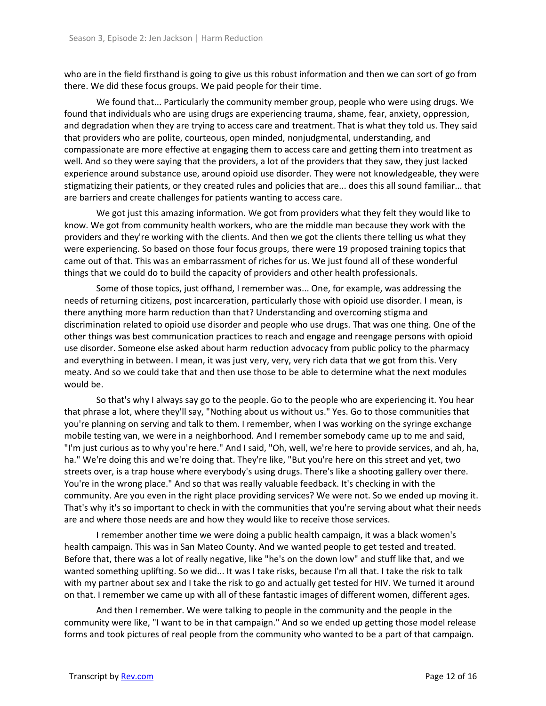who are in the field firsthand is going to give us this robust information and then we can sort of go from there. We did these focus groups. We paid people for their time.

We found that... Particularly the community member group, people who were using drugs. We found that individuals who are using drugs are experiencing trauma, shame, fear, anxiety, oppression, and degradation when they are trying to access care and treatment. That is what they told us. They said that providers who are polite, courteous, open minded, nonjudgmental, understanding, and compassionate are more effective at engaging them to access care and getting them into treatment as well. And so they were saying that the providers, a lot of the providers that they saw, they just lacked experience around substance use, around opioid use disorder. They were not knowledgeable, they were stigmatizing their patients, or they created rules and policies that are... does this all sound familiar... that are barriers and create challenges for patients wanting to access care.

We got just this amazing information. We got from providers what they felt they would like to know. We got from community health workers, who are the middle man because they work with the providers and they're working with the clients. And then we got the clients there telling us what they were experiencing. So based on those four focus groups, there were 19 proposed training topics that came out of that. This was an embarrassment of riches for us. We just found all of these wonderful things that we could do to build the capacity of providers and other health professionals.

Some of those topics, just offhand, I remember was... One, for example, was addressing the needs of returning citizens, post incarceration, particularly those with opioid use disorder. I mean, is there anything more harm reduction than that? Understanding and overcoming stigma and discrimination related to opioid use disorder and people who use drugs. That was one thing. One of the other things was best communication practices to reach and engage and reengage persons with opioid use disorder. Someone else asked about harm reduction advocacy from public policy to the pharmacy and everything in between. I mean, it was just very, very, very rich data that we got from this. Very meaty. And so we could take that and then use those to be able to determine what the next modules would be.

So that's why I always say go to the people. Go to the people who are experiencing it. You hear that phrase a lot, where they'll say, "Nothing about us without us." Yes. Go to those communities that you're planning on serving and talk to them. I remember, when I was working on the syringe exchange mobile testing van, we were in a neighborhood. And I remember somebody came up to me and said, "I'm just curious as to why you're here." And I said, "Oh, well, we're here to provide services, and ah, ha, ha." We're doing this and we're doing that. They're like, "But you're here on this street and yet, two streets over, is a trap house where everybody's using drugs. There's like a shooting gallery over there. You're in the wrong place." And so that was really valuable feedback. It's checking in with the community. Are you even in the right place providing services? We were not. So we ended up moving it. That's why it's so important to check in with the communities that you're serving about what their needs are and where those needs are and how they would like to receive those services.

I remember another time we were doing a public health campaign, it was a black women's health campaign. This was in San Mateo County. And we wanted people to get tested and treated. Before that, there was a lot of really negative, like "he's on the down low" and stuff like that, and we wanted something uplifting. So we did... It was I take risks, because I'm all that. I take the risk to talk with my partner about sex and I take the risk to go and actually get tested for HIV. We turned it around on that. I remember we came up with all of these fantastic images of different women, different ages.

And then I remember. We were talking to people in the community and the people in the community were like, "I want to be in that campaign." And so we ended up getting those model release forms and took pictures of real people from the community who wanted to be a part of that campaign.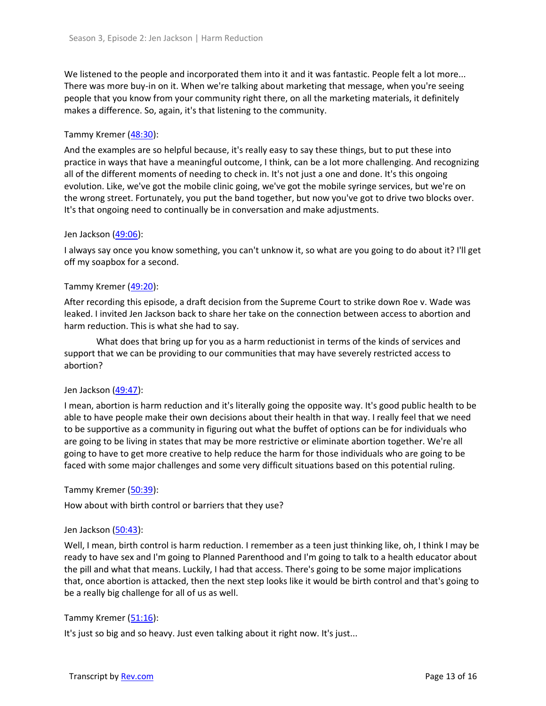We listened to the people and incorporated them into it and it was fantastic. People felt a lot more... There was more buy-in on it. When we're talking about marketing that message, when you're seeing people that you know from your community right there, on all the marketing materials, it definitely makes a difference. So, again, it's that listening to the community.

## Tammy Kremer [\(48:30\)](https://www.rev.com/transcript-editor/Edit?token=J9wdE0Bv98hOU9PwTnHc8SejVhgjQio52QbAxCuF_KalvKhDFkjHBi09sfIfRxVo4jtjH-bdqBQhGuOCZ6psxtluUNo&loadFrom=DocumentDeeplink&ts=2910.7):

And the examples are so helpful because, it's really easy to say these things, but to put these into practice in ways that have a meaningful outcome, I think, can be a lot more challenging. And recognizing all of the different moments of needing to check in. It's not just a one and done. It's this ongoing evolution. Like, we've got the mobile clinic going, we've got the mobile syringe services, but we're on the wrong street. Fortunately, you put the band together, but now you've got to drive two blocks over. It's that ongoing need to continually be in conversation and make adjustments.

### Jen Jackson [\(49:06\)](https://www.rev.com/transcript-editor/Edit?token=ckyy_lQLAaB0bGNuaf02BKD2OmYQxlvStsM-J5tclzh97SIMBPb4IKcmhyEiAQqb_THxickvezXPOfPOJzc26z3HNAk&loadFrom=DocumentDeeplink&ts=2946.04):

I always say once you know something, you can't unknow it, so what are you going to do about it? I'll get off my soapbox for a second.

## Tammy Kremer [\(49:20\)](https://www.rev.com/transcript-editor/Edit?token=Vt76yoAM2GNqHh4XE3hR_VpVZHjRn4PJL8IiuC-3wbhSctiE5wRanQwEiOydXKQA6TaXqiwzczkNyEyLTtlbg4MY3oo&loadFrom=DocumentDeeplink&ts=2960.26):

After recording this episode, a draft decision from the Supreme Court to strike down Roe v. Wade was leaked. I invited Jen Jackson back to share her take on the connection between access to abortion and harm reduction. This is what she had to say.

What does that bring up for you as a harm reductionist in terms of the kinds of services and support that we can be providing to our communities that may have severely restricted access to abortion?

### Jen Jackson [\(49:47\)](https://www.rev.com/transcript-editor/Edit?token=IJ-QHgfrmN6j9b6woxEfSxqocrTKjUyIOGo74SMNzkup9BbORwuuh2cZOKGbAU4e8rJVNpcmDOlQsZThDEIRN7P5WEE&loadFrom=DocumentDeeplink&ts=2987.99):

I mean, abortion is harm reduction and it's literally going the opposite way. It's good public health to be able to have people make their own decisions about their health in that way. I really feel that we need to be supportive as a community in figuring out what the buffet of options can be for individuals who are going to be living in states that may be more restrictive or eliminate abortion together. We're all going to have to get more creative to help reduce the harm for those individuals who are going to be faced with some major challenges and some very difficult situations based on this potential ruling.

Tammy Kremer [\(50:39\)](https://www.rev.com/transcript-editor/Edit?token=y9yiXCV3u2Gfi1Hrnj3tk3SPyf-l1dBlkqdvo8WyGimCijbqsEtZ3Znv5ui9Jw9Qaf2HQEkw6parala-px3ACpMwIYI&loadFrom=DocumentDeeplink&ts=3039.6):

How about with birth control or barriers that they use?

### Jen Jackson [\(50:43\)](https://www.rev.com/transcript-editor/Edit?token=VZpKXc10k4Ds3LbAr-T1XSHhEl3CdA7fsfqjv4PS6seFyMXfJXFEMmmeCC-OjzREe-KPxWEO6BFPlXMfiyDwetcF-NQ&loadFrom=DocumentDeeplink&ts=3043.55):

Well, I mean, birth control is harm reduction. I remember as a teen just thinking like, oh, I think I may be ready to have sex and I'm going to Planned Parenthood and I'm going to talk to a health educator about the pill and what that means. Luckily, I had that access. There's going to be some major implications that, once abortion is attacked, then the next step looks like it would be birth control and that's going to be a really big challenge for all of us as well.

### Tammy Kremer [\(51:16\)](https://www.rev.com/transcript-editor/Edit?token=YYlPdWw1SXNSZO91IMOssl2q4SHDFab5MIZdXuyHBiDKskSG60BbAwz74Qi7TEoIYTVCGG2z0rJF7PYy29AApyflXUY&loadFrom=DocumentDeeplink&ts=3076.4):

It's just so big and so heavy. Just even talking about it right now. It's just...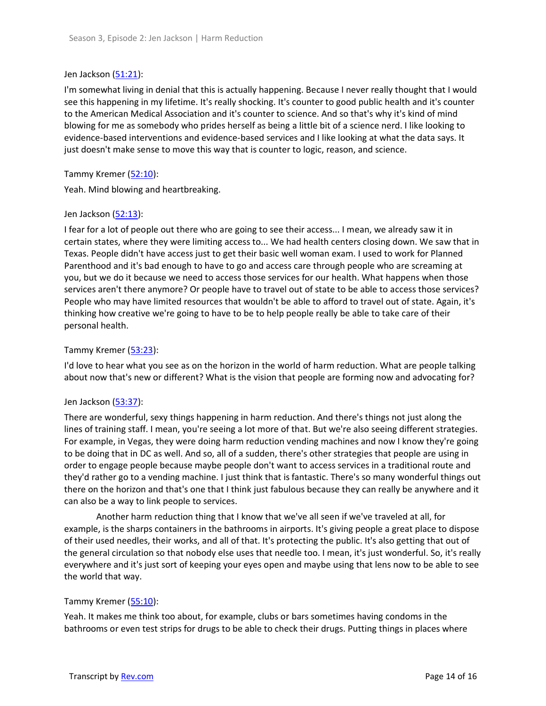### Jen Jackson [\(51:21\)](https://www.rev.com/transcript-editor/Edit?token=QJsDx5HtHnMOZlVXSPYPK7hx9tbWJsitEArbmfFxfIn4nua8E3AfpGe97u_-m-pCsCfdqdTSCc-yfmgSY7zSMWu4d7U&loadFrom=DocumentDeeplink&ts=3081.61):

I'm somewhat living in denial that this is actually happening. Because I never really thought that I would see this happening in my lifetime. It's really shocking. It's counter to good public health and it's counter to the American Medical Association and it's counter to science. And so that's why it's kind of mind blowing for me as somebody who prides herself as being a little bit of a science nerd. I like looking to evidence-based interventions and evidence-based services and I like looking at what the data says. It just doesn't make sense to move this way that is counter to logic, reason, and science.

## Tammy Kremer [\(52:10\)](https://www.rev.com/transcript-editor/Edit?token=6nBae7NLzSim7hQ3WSfq3I49m5Ua06X4hkBtVvEKQDqVsDCp3h1xYFoERC_sScePszGyLLqwOJbCC9e6jV1_YN3j3sY&loadFrom=DocumentDeeplink&ts=3130.35):

Yeah. Mind blowing and heartbreaking.

## Jen Jackson [\(52:13\)](https://www.rev.com/transcript-editor/Edit?token=bjxR4TSMTwRv6_P1AuuiTOvDQkaz5TYoE-vzlkkEMhvP7Kj-CS8uTONq0M3zQ3TpBDSnyYdEhGeK9-i8bs5vFrVNcNM&loadFrom=DocumentDeeplink&ts=3133.89):

I fear for a lot of people out there who are going to see their access... I mean, we already saw it in certain states, where they were limiting access to... We had health centers closing down. We saw that in Texas. People didn't have access just to get their basic well woman exam. I used to work for Planned Parenthood and it's bad enough to have to go and access care through people who are screaming at you, but we do it because we need to access those services for our health. What happens when those services aren't there anymore? Or people have to travel out of state to be able to access those services? People who may have limited resources that wouldn't be able to afford to travel out of state. Again, it's thinking how creative we're going to have to be to help people really be able to take care of their personal health.

## Tammy Kremer [\(53:23\)](https://www.rev.com/transcript-editor/Edit?token=BDIrfsuuqScsmxjvK-qdMPAvPE6wsP-13_L5SA_LdZxydoTMWNEVJz2zuBrUjILW_QOSZPyeZgiF0ofVOPMGDtNRKKg&loadFrom=DocumentDeeplink&ts=3203.22):

I'd love to hear what you see as on the horizon in the world of harm reduction. What are people talking about now that's new or different? What is the vision that people are forming now and advocating for?

### Jen Jackson [\(53:37\)](https://www.rev.com/transcript-editor/Edit?token=f1PTK0pTINn-SvEh7NlRmlX_sDcE82NG9g-FXO7QvSX0IOBV1mKCpTegUiIssFDeLirWtrEEnkv6YR4rVXTdYfJcSQc&loadFrom=DocumentDeeplink&ts=3217.4):

There are wonderful, sexy things happening in harm reduction. And there's things not just along the lines of training staff. I mean, you're seeing a lot more of that. But we're also seeing different strategies. For example, in Vegas, they were doing harm reduction vending machines and now I know they're going to be doing that in DC as well. And so, all of a sudden, there's other strategies that people are using in order to engage people because maybe people don't want to access services in a traditional route and they'd rather go to a vending machine. I just think that is fantastic. There's so many wonderful things out there on the horizon and that's one that I think just fabulous because they can really be anywhere and it can also be a way to link people to services.

Another harm reduction thing that I know that we've all seen if we've traveled at all, for example, is the sharps containers in the bathrooms in airports. It's giving people a great place to dispose of their used needles, their works, and all of that. It's protecting the public. It's also getting that out of the general circulation so that nobody else uses that needle too. I mean, it's just wonderful. So, it's really everywhere and it's just sort of keeping your eyes open and maybe using that lens now to be able to see the world that way.

### Tammy Kremer [\(55:10\)](https://www.rev.com/transcript-editor/Edit?token=o8F4Nwau4SAw9upNdo0F7hqXhsqESMa4zPfzKq4brFbEWb5SczoyGgW_R3SmvP-xct0vGXfdVNGkWrvPmOjluWIhv6Q&loadFrom=DocumentDeeplink&ts=3310.36):

Yeah. It makes me think too about, for example, clubs or bars sometimes having condoms in the bathrooms or even test strips for drugs to be able to check their drugs. Putting things in places where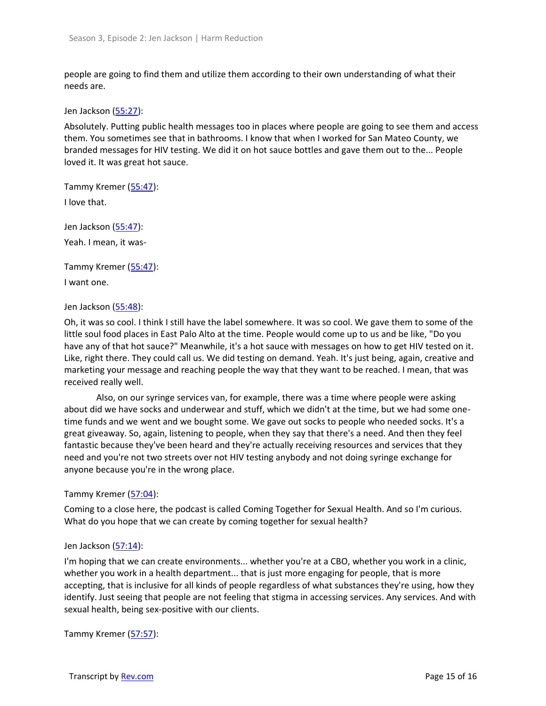people are going to find them and utilize them according to their own understanding of what their needs are.

Jen Jackson [\(55:27\)](https://www.rev.com/transcript-editor/Edit?token=QsLP-nxEhRJKSge6xXuPMVl7IxdUGsB9u6UBmMVrwAMTzI5wocE1LD3SKy60wqSMNmZQroO8Yat2AcQbTJzI1bzS3ms&loadFrom=DocumentDeeplink&ts=3327.72):

Absolutely. Putting public health messages too in places where people are going to see them and access them. You sometimes see that in bathrooms. I know that when I worked for San Mateo County, we branded messages for HIV testing. We did it on hot sauce bottles and gave them out to the... People loved it. It was great hot sauce.

Tammy Kremer [\(55:47\)](https://www.rev.com/transcript-editor/Edit?token=3WGOIcj5YcaOtl5B6udOg9W-vIZEG9xNcrz1-0q6mXVCE0EKAI2Av8K17q_40x4kqqQf5EwIzCF8Nq146wToqyLK5d4&loadFrom=DocumentDeeplink&ts=3347.42):

I love that.

Jen Jackson [\(55:47\)](https://www.rev.com/transcript-editor/Edit?token=NfjPN9bgyDSTvLGG3Bp87idPlDRTIp3NOzTbfgpk5dmcgToM8GldH4M6b1X3zFBAeETDLq59_-1W100KXoQge9v711I&loadFrom=DocumentDeeplink&ts=3347.49): Yeah. I mean, it was-

Tammy Kremer [\(55:47\)](https://www.rev.com/transcript-editor/Edit?token=PjgIMiO_3CQvXstjAbZ_ExUCc2DF3P23pi0gU3QiCEdYLjvc0i5HogEeuXMj-lYgD9H_rm1K2GhZHYt4-pRj2MLT26s&loadFrom=DocumentDeeplink&ts=3347.49):

I want one.

### Jen Jackson [\(55:48\)](https://www.rev.com/transcript-editor/Edit?token=jgDQprjys0k0M3xE_yPu9J0XszqiVp6iODq1xBJl0QSnVRJFPInev7r2pxotd4vqSMQbZ8zMXRQEnbpPyAHiVb_xV8o&loadFrom=DocumentDeeplink&ts=3348.69):

Oh, it was so cool. I think I still have the label somewhere. It was so cool. We gave them to some of the little soul food places in East Palo Alto at the time. People would come up to us and be like, "Do you have any of that hot sauce?" Meanwhile, it's a hot sauce with messages on how to get HIV tested on it. Like, right there. They could call us. We did testing on demand. Yeah. It's just being, again, creative and marketing your message and reaching people the way that they want to be reached. I mean, that was received really well.

Also, on our syringe services van, for example, there was a time where people were asking about did we have socks and underwear and stuff, which we didn't at the time, but we had some onetime funds and we went and we bought some. We gave out socks to people who needed socks. It's a great giveaway. So, again, listening to people, when they say that there's a need. And then they feel fantastic because they've been heard and they're actually receiving resources and services that they need and you're not two streets over not HIV testing anybody and not doing syringe exchange for anyone because you're in the wrong place.

### Tammy Kremer [\(57:04\)](https://www.rev.com/transcript-editor/Edit?token=DKMqK9FjmyDE40FiycfDueZqnjbCxXRN9KUFUbXcPrqg2o8IJAnuEzjveK034YpB8KRQhAcdOE2QKmCUStoDu9t1NX8&loadFrom=DocumentDeeplink&ts=3424.34):

Coming to a close here, the podcast is called Coming Together for Sexual Health. And so I'm curious. What do you hope that we can create by coming together for sexual health?

### Jen Jackson [\(57:14\)](https://www.rev.com/transcript-editor/Edit?token=hLMiAwRwp4AHQGuycB1jtxOnMHDe87R8vAF4klJ2AtICI3Ddd3bzGyI7-SM4wj199AD00PKqICUSPxbfth5BB3rqbMs&loadFrom=DocumentDeeplink&ts=3434.38):

I'm hoping that we can create environments... whether you're at a CBO, whether you work in a clinic, whether you work in a health department... that is just more engaging for people, that is more accepting, that is inclusive for all kinds of people regardless of what substances they're using, how they identify. Just seeing that people are not feeling that stigma in accessing services. Any services. And with sexual health, being sex-positive with our clients.

Tammy Kremer [\(57:57\)](https://www.rev.com/transcript-editor/Edit?token=YCWs5YKCOi9qFvhPs7wS-P77vEfEkuBd086aT4GWcxpoJkjBu9SA0zsshViofx8T28LPdqf-jiRELt5ChRYlsIUSz24&loadFrom=DocumentDeeplink&ts=3477.87):